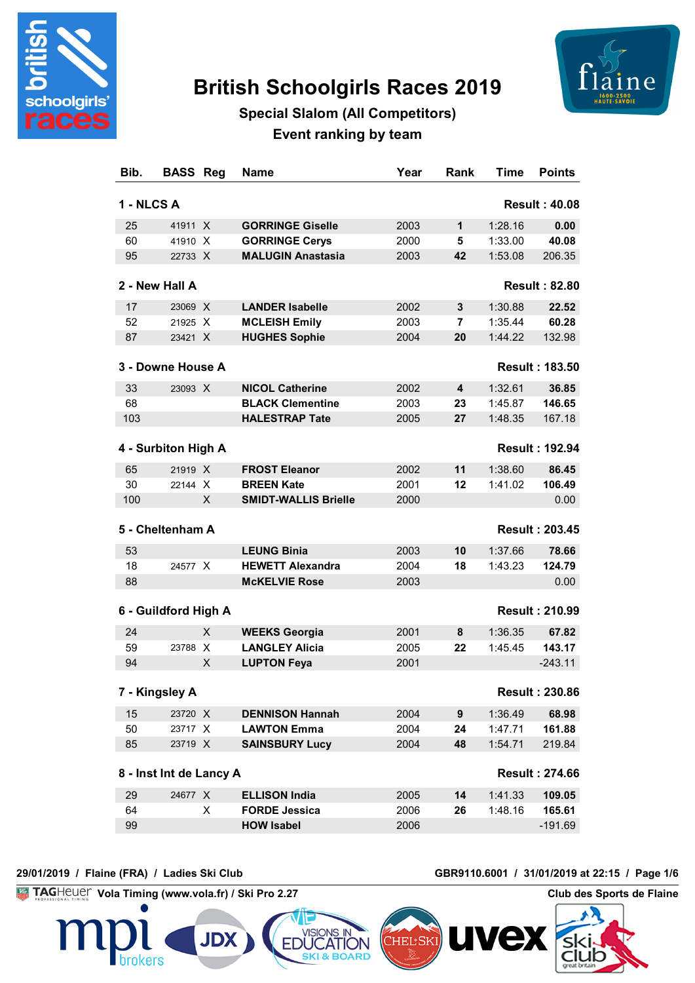

# **British Schoolgirls Races 2019**



## **Special Slalom (All Competitors) Event ranking by team**

| Bib.       | <b>BASS</b><br>Reg      | Name                                          | Year | Rank             | <b>Time</b> | <b>Points</b>          |
|------------|-------------------------|-----------------------------------------------|------|------------------|-------------|------------------------|
| 1 - NLCS A |                         |                                               |      |                  |             | <b>Result: 40.08</b>   |
| 25         | 41911 X                 | <b>GORRINGE Giselle</b>                       | 2003 | 1                | 1:28.16     | 0.00                   |
| 60         | 41910 X                 | <b>GORRINGE Cerys</b>                         | 2000 | 5                | 1:33.00     | 40.08                  |
| 95         | 22733 X                 | <b>MALUGIN Anastasia</b>                      | 2003 | 42               | 1:53.08     | 206.35                 |
|            | 2 - New Hall A          |                                               |      |                  |             | <b>Result: 82.80</b>   |
| 17         | 23069 X                 | <b>LANDER Isabelle</b>                        | 2002 | 3                | 1:30.88     | 22.52                  |
| 52         | 21925 X                 | <b>MCLEISH Emily</b>                          | 2003 | 7                | 1:35.44     | 60.28                  |
| 87         | 23421 X                 | <b>HUGHES Sophie</b>                          | 2004 | 20               | 1:44.22     | 132.98                 |
|            | 3 - Downe House A       |                                               |      |                  |             | <b>Result: 183.50</b>  |
| 33         | 23093 X                 | <b>NICOL Catherine</b>                        | 2002 | 4                | 1:32.61     | 36.85                  |
| 68         |                         | <b>BLACK Clementine</b>                       | 2003 | 23               | 1:45.87     | 146.65                 |
| 103        |                         | <b>HALESTRAP Tate</b>                         | 2005 | 27               | 1:48.35     | 167.18                 |
|            |                         |                                               |      |                  |             |                        |
|            | 4 - Surbiton High A     |                                               |      |                  |             | <b>Result: 192.94</b>  |
| 65         | 21919 X                 | <b>FROST Eleanor</b>                          | 2002 | 11               | 1:38.60     | 86.45                  |
| 30         | 22144 X                 | <b>BREEN Kate</b>                             | 2001 | 12               | 1:41.02     | 106.49                 |
| 100        | X                       | <b>SMIDT-WALLIS Brielle</b>                   | 2000 |                  |             | 0.00                   |
|            | 5 - Cheltenham A        |                                               |      |                  |             | <b>Result: 203.45</b>  |
| 53         |                         | <b>LEUNG Binia</b>                            | 2003 | 10               | 1:37.66     | 78.66                  |
| 18         | 24577 X                 | <b>HEWETT Alexandra</b>                       | 2004 | 18               | 1:43.23     | 124.79                 |
| 88         |                         | <b>McKELVIE Rose</b>                          | 2003 |                  |             | 0.00                   |
|            | 6 - Guildford High A    |                                               |      |                  |             | <b>Result: 210.99</b>  |
| 24         | X                       |                                               | 2001 | 8                | 1:36.35     | 67.82                  |
| 59         | 23788 X                 | <b>WEEKS Georgia</b><br><b>LANGLEY Alicia</b> | 2005 | 22               | 1:45.45     | 143.17                 |
| 94         | X                       | <b>LUPTON Feya</b>                            | 2001 |                  |             | $-243.11$              |
|            |                         |                                               |      |                  |             |                        |
|            | 7 - Kingsley A          |                                               |      |                  |             | <b>Result : 230.86</b> |
| 15         | 23720 X                 | <b>DENNISON Hannah</b>                        | 2004 | $\boldsymbol{9}$ | 1:36.49     | 68.98                  |
| 50         | 23717 X                 | <b>LAWTON Emma</b>                            | 2004 | 24               | 1:47.71     | 161.88                 |
| 85         | 23719 X                 | <b>SAINSBURY Lucy</b>                         | 2004 | 48               | 1:54.71     | 219.84                 |
|            | 8 - Inst Int de Lancy A |                                               |      |                  |             | <b>Result: 274.66</b>  |
| 29         | 24677 X                 | <b>ELLISON India</b>                          | 2005 | 14               | 1:41.33     | 109.05                 |
| 64         | X                       | <b>FORDE Jessica</b>                          | 2006 | 26               | 1:48.16     | 165.61                 |
| 99         |                         | <b>HOW Isabel</b>                             | 2006 |                  |             | $-191.69$              |

#### **29/01/2019 / Flaine (FRA) / Ladies Ski Club GBR9110.6001 / 31/01/2019 at 22:15 / Page 1/6**

hrokers

**Vola Timing (www.vola.fr) / Ski Pro 2.27 Club des Sports de Flaine** 

**JDX** 

**EDUC** 

**ATION SKI & BOARD** 

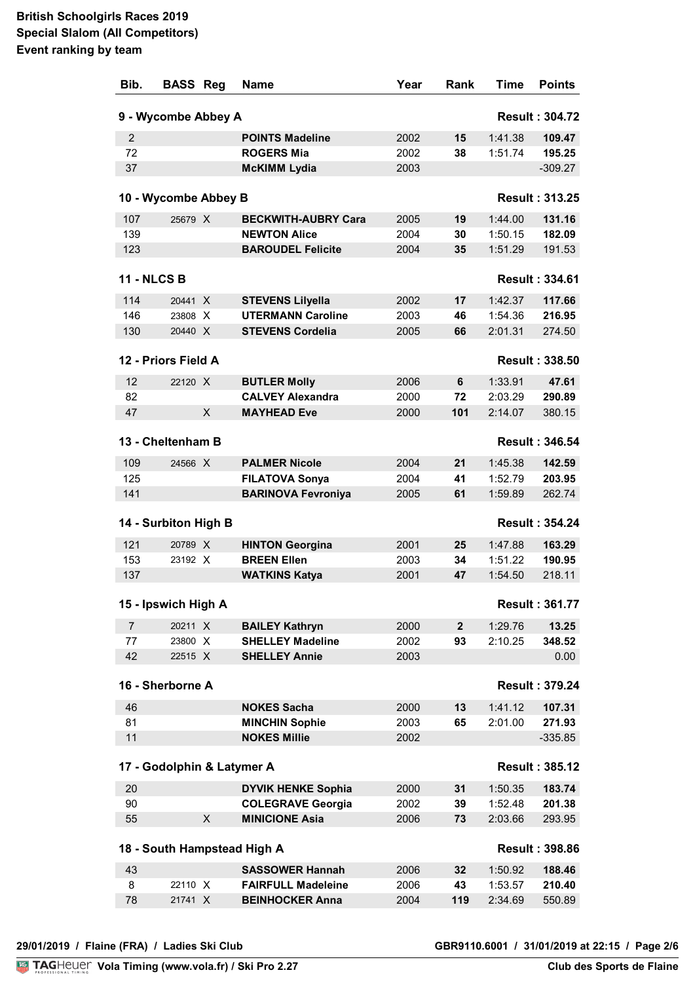| Bib.               | <b>BASS Reg</b>            |   | Name                        | Year | Rank         | Time    | <b>Points</b>         |
|--------------------|----------------------------|---|-----------------------------|------|--------------|---------|-----------------------|
|                    | 9 - Wycombe Abbey A        |   |                             |      |              |         | <b>Result: 304.72</b> |
| $\overline{2}$     |                            |   | <b>POINTS Madeline</b>      | 2002 | 15           | 1:41.38 | 109.47                |
| 72                 |                            |   | <b>ROGERS Mia</b>           | 2002 | 38           | 1:51.74 | 195.25                |
| 37                 |                            |   | <b>McKIMM Lydia</b>         | 2003 |              |         | $-309.27$             |
|                    |                            |   |                             |      |              |         |                       |
|                    | 10 - Wycombe Abbey B       |   |                             |      |              |         | <b>Result: 313.25</b> |
| 107                | 25679 X                    |   | <b>BECKWITH-AUBRY Cara</b>  | 2005 | 19           | 1:44.00 | 131.16                |
| 139                |                            |   | <b>NEWTON Alice</b>         | 2004 | 30           | 1:50.15 | 182.09                |
| 123                |                            |   | <b>BAROUDEL Felicite</b>    | 2004 | 35           | 1:51.29 | 191.53                |
| <b>11 - NLCS B</b> |                            |   |                             |      |              |         | <b>Result: 334.61</b> |
| 114                | 20441 X                    |   | <b>STEVENS Lilyella</b>     | 2002 | 17           | 1:42.37 | 117.66                |
| 146                | 23808 X                    |   | <b>UTERMANN Caroline</b>    | 2003 | 46           | 1:54.36 | 216.95                |
| 130                | 20440 X                    |   | <b>STEVENS Cordelia</b>     | 2005 | 66           | 2:01.31 | 274.50                |
|                    |                            |   |                             |      |              |         |                       |
|                    | 12 - Priors Field A        |   |                             |      |              |         | <b>Result: 338.50</b> |
| 12                 | 22120 X                    |   | <b>BUTLER Molly</b>         | 2006 | 6            | 1:33.91 | 47.61                 |
| 82                 |                            |   | <b>CALVEY Alexandra</b>     | 2000 | 72           | 2:03.29 | 290.89                |
| 47                 |                            | X | <b>MAYHEAD Eve</b>          | 2000 | 101          | 2:14.07 | 380.15                |
|                    | 13 - Cheltenham B          |   |                             |      |              |         | <b>Result: 346.54</b> |
| 109                | 24566 X                    |   | <b>PALMER Nicole</b>        | 2004 | 21           | 1:45.38 | 142.59                |
| 125                |                            |   | <b>FILATOVA Sonya</b>       | 2004 | 41           | 1:52.79 | 203.95                |
| 141                |                            |   | <b>BARINOVA Fevroniya</b>   | 2005 | 61           | 1:59.89 | 262.74                |
|                    | 14 - Surbiton High B       |   |                             |      |              |         | <b>Result: 354.24</b> |
| 121                | 20789 X                    |   | <b>HINTON Georgina</b>      | 2001 | 25           | 1:47.88 | 163.29                |
| 153                | 23192 X                    |   | <b>BREEN Ellen</b>          | 2003 | 34           | 1:51.22 | 190.95                |
| 137                |                            |   | <b>WATKINS Katya</b>        | 2001 | 47           | 1:54.50 | 218.11                |
|                    | 15 - Ipswich High A        |   |                             |      |              |         | <b>Result: 361.77</b> |
|                    |                            |   |                             |      |              |         |                       |
| $\overline{7}$     | 20211 X                    |   | <b>BAILEY Kathryn</b>       | 2000 | $\mathbf{2}$ | 1:29.76 | 13.25                 |
| 77                 | 23800 X                    |   | <b>SHELLEY Madeline</b>     | 2002 | 93           | 2:10.25 | 348.52                |
| 42                 | 22515 X                    |   | <b>SHELLEY Annie</b>        | 2003 |              |         | 0.00                  |
|                    | 16 - Sherborne A           |   |                             |      |              |         | <b>Result: 379.24</b> |
| 46                 |                            |   | <b>NOKES Sacha</b>          | 2000 | 13           | 1:41.12 | 107.31                |
| 81                 |                            |   | <b>MINCHIN Sophie</b>       | 2003 | 65           | 2:01.00 | 271.93                |
| 11                 |                            |   | <b>NOKES Millie</b>         | 2002 |              |         | $-335.85$             |
|                    | 17 - Godolphin & Latymer A |   |                             |      |              |         | <b>Result: 385.12</b> |
| 20                 |                            |   | <b>DYVIK HENKE Sophia</b>   | 2000 | 31           | 1:50.35 | 183.74                |
| 90                 |                            |   | <b>COLEGRAVE Georgia</b>    | 2002 | 39           | 1:52.48 | 201.38                |
| 55                 |                            | X | <b>MINICIONE Asia</b>       | 2006 | 73           | 2:03.66 | 293.95                |
|                    |                            |   | 18 - South Hampstead High A |      |              |         | <b>Result: 398.86</b> |
| 43                 |                            |   | <b>SASSOWER Hannah</b>      | 2006 | 32           | 1:50.92 | 188.46                |
| 8                  | 22110 X                    |   | <b>FAIRFULL Madeleine</b>   | 2006 | 43           | 1:53.57 | 210.40                |
| 78                 | 21741 X                    |   | <b>BEINHOCKER Anna</b>      | 2004 | 119          | 2:34.69 | 550.89                |
|                    |                            |   |                             |      |              |         |                       |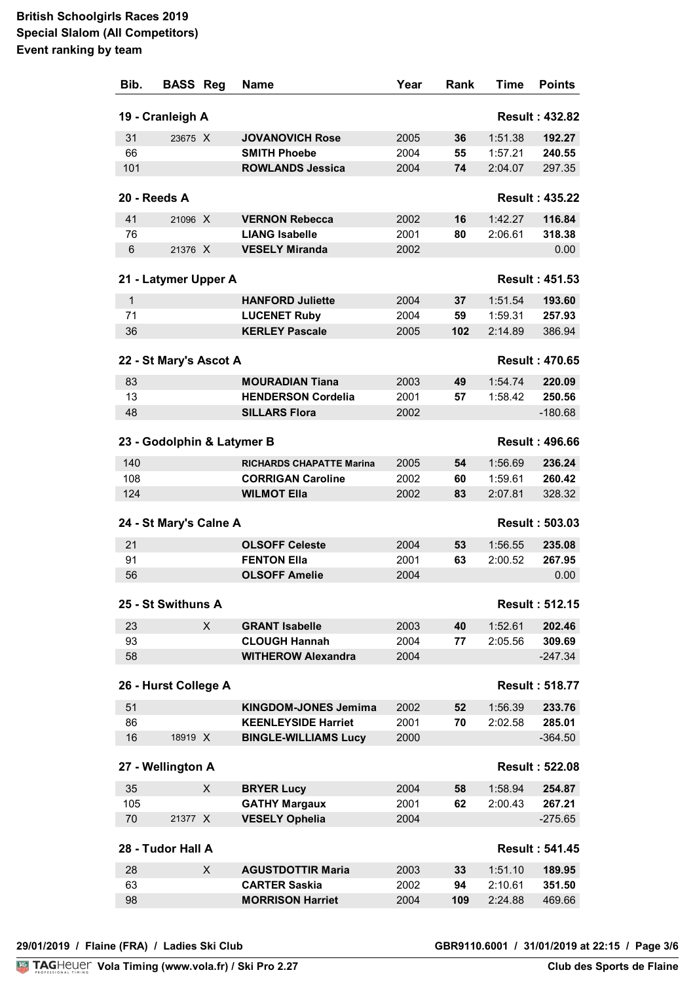| Bib.                                      | <b>BASS Reg</b>            |   | Name                            | Year | Rank | Time    | <b>Points</b>         |
|-------------------------------------------|----------------------------|---|---------------------------------|------|------|---------|-----------------------|
| 19 - Cranleigh A<br><b>Result: 432.82</b> |                            |   |                                 |      |      |         |                       |
| 31                                        | 23675 X                    |   | <b>JOVANOVICH Rose</b>          | 2005 | 36   | 1:51.38 | 192.27                |
| 66                                        |                            |   | <b>SMITH Phoebe</b>             | 2004 | 55   | 1:57.21 | 240.55                |
| 101                                       |                            |   | <b>ROWLANDS Jessica</b>         | 2004 | 74   | 2:04.07 | 297.35                |
| 20 - Reeds A                              |                            |   |                                 |      |      |         | <b>Result: 435.22</b> |
| 41                                        | 21096 X                    |   | <b>VERNON Rebecca</b>           | 2002 | 16   | 1:42.27 | 116.84                |
| 76                                        |                            |   | <b>LIANG Isabelle</b>           | 2001 | 80   | 2:06.61 | 318.38                |
| $6\phantom{1}$                            | 21376 X                    |   | <b>VESELY Miranda</b>           | 2002 |      |         | 0.00                  |
|                                           |                            |   |                                 |      |      |         |                       |
|                                           | 21 - Latymer Upper A       |   |                                 |      |      |         | <b>Result: 451.53</b> |
| $\mathbf{1}$                              |                            |   | <b>HANFORD Juliette</b>         | 2004 | 37   | 1:51.54 | 193.60                |
| 71                                        |                            |   | <b>LUCENET Ruby</b>             | 2004 | 59   | 1:59.31 | 257.93                |
| 36                                        |                            |   | <b>KERLEY Pascale</b>           | 2005 | 102  | 2:14.89 | 386.94                |
|                                           | 22 - St Mary's Ascot A     |   |                                 |      |      |         | <b>Result: 470.65</b> |
| 83                                        |                            |   | <b>MOURADIAN Tiana</b>          | 2003 | 49   | 1:54.74 | 220.09                |
| 13                                        |                            |   | <b>HENDERSON Cordelia</b>       | 2001 | 57   | 1:58.42 | 250.56                |
| 48                                        |                            |   | <b>SILLARS Flora</b>            | 2002 |      |         | $-180.68$             |
|                                           | 23 - Godolphin & Latymer B |   |                                 |      |      |         | <b>Result: 496.66</b> |
| 140                                       |                            |   | <b>RICHARDS CHAPATTE Marina</b> | 2005 | 54   | 1:56.69 | 236.24                |
| 108                                       |                            |   | <b>CORRIGAN Caroline</b>        | 2002 | 60   | 1:59.61 | 260.42                |
| 124                                       |                            |   | <b>WILMOT Ella</b>              | 2002 | 83   | 2:07.81 | 328.32                |
|                                           | 24 - St Mary's Calne A     |   |                                 |      |      |         | <b>Result: 503.03</b> |
| 21                                        |                            |   | <b>OLSOFF Celeste</b>           | 2004 | 53   | 1:56.55 | 235.08                |
| 91                                        |                            |   | <b>FENTON Ella</b>              | 2001 | 63   | 2:00.52 | 267.95                |
| 56                                        |                            |   | <b>OLSOFF Amelie</b>            | 2004 |      |         | 0.00                  |
|                                           | 25 - St Swithuns A         |   |                                 |      |      |         | <b>Result: 512.15</b> |
| 23                                        |                            | X | <b>GRANT Isabelle</b>           | 2003 | 40   | 1:52.61 | 202.46                |
| 93                                        |                            |   | <b>CLOUGH Hannah</b>            | 2004 | 77   | 2:05.56 | 309.69                |
| 58                                        |                            |   | <b>WITHEROW Alexandra</b>       | 2004 |      |         | $-247.34$             |
|                                           | 26 - Hurst College A       |   |                                 |      |      |         | <b>Result: 518.77</b> |
| 51                                        |                            |   | <b>KINGDOM-JONES Jemima</b>     | 2002 | 52   | 1:56.39 | 233.76                |
| 86                                        |                            |   | <b>KEENLEYSIDE Harriet</b>      | 2001 | 70   | 2:02.58 | 285.01                |
| 16                                        | 18919 X                    |   | <b>BINGLE-WILLIAMS Lucy</b>     | 2000 |      |         | $-364.50$             |
|                                           | 27 - Wellington A          |   |                                 |      |      |         | <b>Result: 522.08</b> |
| 35                                        |                            | X | <b>BRYER Lucy</b>               | 2004 | 58   | 1:58.94 | 254.87                |
| 105                                       |                            |   | <b>GATHY Margaux</b>            | 2001 | 62   | 2:00.43 | 267.21                |
| 70                                        | 21377 X                    |   | <b>VESELY Ophelia</b>           | 2004 |      |         | $-275.65$             |
|                                           | 28 - Tudor Hall A          |   |                                 |      |      |         | <b>Result: 541.45</b> |
|                                           |                            |   |                                 |      |      |         |                       |
| 28                                        |                            | X | <b>AGUSTDOTTIR Maria</b>        | 2003 | 33   | 1:51.10 | 189.95                |
| 63                                        |                            |   | <b>CARTER Saskia</b>            | 2002 | 94   | 2:10.61 | 351.50                |
| 98                                        |                            |   | <b>MORRISON Harriet</b>         | 2004 | 109  | 2:24.88 | 469.66                |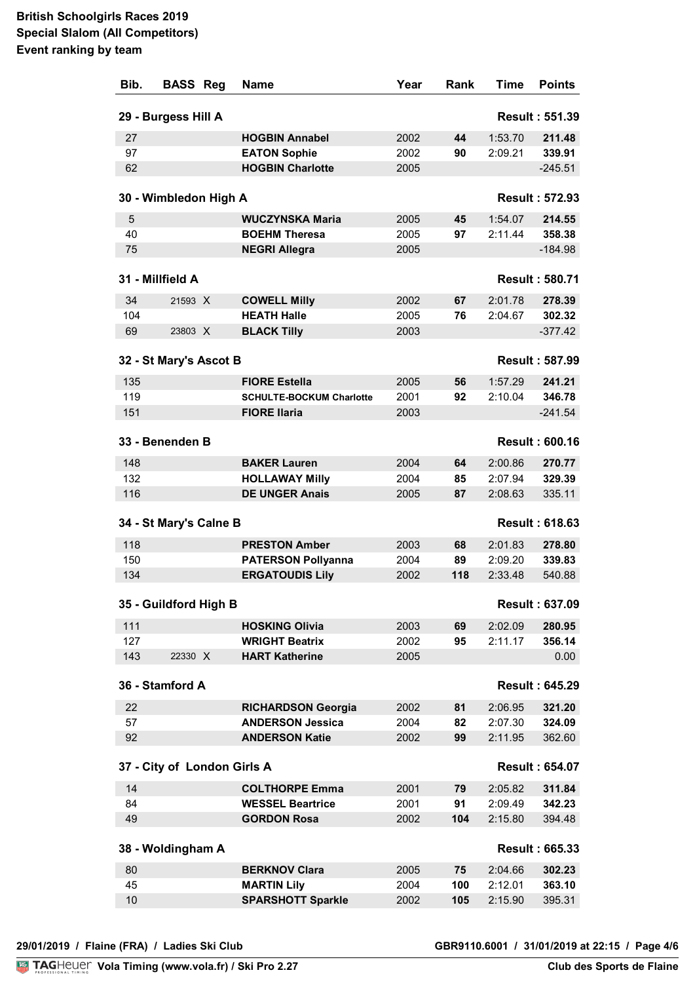| Bib.                                         | <b>BASS</b>                 | Reg | <b>Name</b>                     | Year | Rank | <b>Time</b> | <b>Points</b>         |
|----------------------------------------------|-----------------------------|-----|---------------------------------|------|------|-------------|-----------------------|
| <b>Result: 551.39</b><br>29 - Burgess Hill A |                             |     |                                 |      |      |             |                       |
| 27                                           |                             |     | <b>HOGBIN Annabel</b>           | 2002 | 44   | 1:53.70     | 211.48                |
| 97                                           |                             |     | <b>EATON Sophie</b>             | 2002 | 90   | 2:09.21     | 339.91                |
| 62                                           |                             |     | <b>HOGBIN Charlotte</b>         | 2005 |      |             | $-245.51$             |
|                                              | 30 - Wimbledon High A       |     |                                 |      |      |             | <b>Result: 572.93</b> |
| 5                                            |                             |     | <b>WUCZYNSKA Maria</b>          | 2005 | 45   | 1:54.07     | 214.55                |
| 40                                           |                             |     | <b>BOEHM Theresa</b>            | 2005 | 97   | 2:11.44     | 358.38                |
| 75                                           |                             |     | <b>NEGRI Allegra</b>            | 2005 |      |             | $-184.98$             |
|                                              |                             |     |                                 |      |      |             |                       |
|                                              | 31 - Millfield A            |     |                                 |      |      |             | <b>Result: 580.71</b> |
| 34                                           | 21593 X                     |     | <b>COWELL Milly</b>             | 2002 | 67   | 2:01.78     | 278.39                |
| 104                                          |                             |     | <b>HEATH Halle</b>              | 2005 | 76   | 2:04.67     | 302.32                |
| 69                                           | 23803 X                     |     | <b>BLACK Tilly</b>              | 2003 |      |             | $-377.42$             |
|                                              | 32 - St Mary's Ascot B      |     |                                 |      |      |             | <b>Result: 587.99</b> |
| 135                                          |                             |     | <b>FIORE Estella</b>            | 2005 | 56   | 1:57.29     | 241.21                |
| 119                                          |                             |     | <b>SCHULTE-BOCKUM Charlotte</b> | 2001 | 92   | 2:10.04     | 346.78                |
| 151                                          |                             |     | <b>FIORE Ilaria</b>             | 2003 |      |             | $-241.54$             |
|                                              | 33 - Benenden B             |     |                                 |      |      |             | <b>Result: 600.16</b> |
| 148                                          |                             |     | <b>BAKER Lauren</b>             | 2004 | 64   | 2:00.86     | 270.77                |
| 132                                          |                             |     | <b>HOLLAWAY Milly</b>           | 2004 | 85   | 2:07.94     | 329.39                |
| 116                                          |                             |     | <b>DE UNGER Anais</b>           | 2005 | 87   | 2:08.63     | 335.11                |
|                                              | 34 - St Mary's Calne B      |     |                                 |      |      |             | <b>Result: 618.63</b> |
| 118                                          |                             |     | <b>PRESTON Amber</b>            | 2003 | 68   | 2:01.83     | 278.80                |
| 150                                          |                             |     | <b>PATERSON Pollyanna</b>       | 2004 | 89   | 2:09.20     | 339.83                |
| 134                                          |                             |     | <b>ERGATOUDIS Lily</b>          | 2002 | 118  | 2:33.48     | 540.88                |
|                                              | 35 - Guildford High B       |     |                                 |      |      |             | <b>Result: 637.09</b> |
| 111                                          |                             |     | <b>HOSKING Olivia</b>           | 2003 | 69   | 2:02.09     | 280.95                |
| 127                                          |                             |     | <b>WRIGHT Beatrix</b>           | 2002 | 95   | 2:11.17     | 356.14                |
| 143                                          | 22330 X                     |     | <b>HART Katherine</b>           | 2005 |      |             | 0.00                  |
|                                              | 36 - Stamford A             |     |                                 |      |      |             | <b>Result: 645.29</b> |
| 22                                           |                             |     | <b>RICHARDSON Georgia</b>       | 2002 | 81   | 2:06.95     | 321.20                |
| 57                                           |                             |     | <b>ANDERSON Jessica</b>         | 2004 | 82   | 2:07.30     | 324.09                |
| 92                                           |                             |     | <b>ANDERSON Katie</b>           | 2002 | 99   | 2:11.95     | 362.60                |
|                                              | 37 - City of London Girls A |     |                                 |      |      |             | <b>Result: 654.07</b> |
| 14                                           |                             |     | <b>COLTHORPE Emma</b>           | 2001 | 79   | 2:05.82     | 311.84                |
| 84                                           |                             |     | <b>WESSEL Beartrice</b>         | 2001 | 91   | 2:09.49     | 342.23                |
| 49                                           |                             |     | <b>GORDON Rosa</b>              | 2002 | 104  | 2:15.80     | 394.48                |
|                                              |                             |     |                                 |      |      |             |                       |
|                                              | 38 - Woldingham A           |     |                                 |      |      |             | <b>Result: 665.33</b> |
| 80                                           |                             |     | <b>BERKNOV Clara</b>            | 2005 | 75   | 2:04.66     | 302.23                |
| 45                                           |                             |     | <b>MARTIN Lily</b>              | 2004 | 100  | 2:12.01     | 363.10                |
| 10                                           |                             |     | <b>SPARSHOTT Sparkle</b>        | 2002 | 105  | 2:15.90     | 395.31                |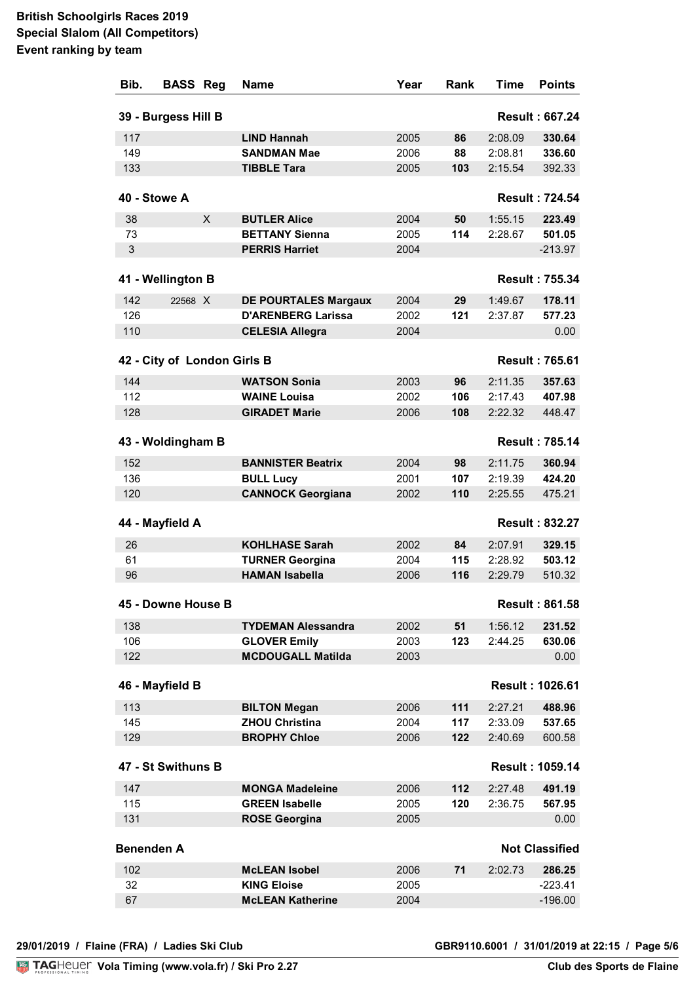| Bib.              | <b>BASS</b>                 | Reg | <b>Name</b>                                    | Year         | Rank | Time    | <b>Points</b>          |
|-------------------|-----------------------------|-----|------------------------------------------------|--------------|------|---------|------------------------|
|                   | 39 - Burgess Hill B         |     |                                                |              |      |         | <b>Result: 667.24</b>  |
| 117               |                             |     | <b>LIND Hannah</b>                             | 2005         | 86   | 2:08.09 | 330.64                 |
| 149               |                             |     | <b>SANDMAN Mae</b>                             | 2006         | 88   | 2:08.81 | 336.60                 |
| 133               |                             |     | <b>TIBBLE Tara</b>                             | 2005         | 103  | 2:15.54 | 392.33                 |
|                   | 40 - Stowe A                |     |                                                |              |      |         | <b>Result: 724.54</b>  |
|                   |                             |     |                                                |              |      |         |                        |
| 38                |                             | X   | <b>BUTLER Alice</b>                            | 2004         | 50   | 1:55.15 | 223.49                 |
| 73<br>3           |                             |     | <b>BETTANY Sienna</b><br><b>PERRIS Harriet</b> | 2005<br>2004 | 114  | 2:28.67 | 501.05                 |
|                   |                             |     |                                                |              |      |         | $-213.97$              |
|                   | 41 - Wellington B           |     |                                                |              |      |         | <b>Result: 755.34</b>  |
| 142               | 22568 X                     |     | <b>DE POURTALES Margaux</b>                    | 2004         | 29   | 1:49.67 | 178.11                 |
| 126               |                             |     | <b>D'ARENBERG Larissa</b>                      | 2002         | 121  | 2:37.87 | 577.23                 |
| 110               |                             |     | <b>CELESIA Allegra</b>                         | 2004         |      |         | 0.00                   |
|                   | 42 - City of London Girls B |     |                                                |              |      |         | <b>Result: 765.61</b>  |
| 144               |                             |     | <b>WATSON Sonia</b>                            | 2003         | 96   | 2:11.35 | 357.63                 |
| 112               |                             |     | <b>WAINE Louisa</b>                            | 2002         | 106  | 2:17.43 | 407.98                 |
| 128               |                             |     | <b>GIRADET Marie</b>                           | 2006         | 108  | 2:22.32 | 448.47                 |
|                   | 43 - Woldingham B           |     |                                                |              |      |         | <b>Result: 785.14</b>  |
| 152               |                             |     | <b>BANNISTER Beatrix</b>                       | 2004         | 98   | 2:11.75 | 360.94                 |
| 136               |                             |     | <b>BULL Lucy</b>                               | 2001         | 107  | 2:19.39 | 424.20                 |
| 120               |                             |     | <b>CANNOCK Georgiana</b>                       | 2002         | 110  | 2:25.55 | 475.21                 |
|                   | 44 - Mayfield A             |     |                                                |              |      |         | <b>Result: 832.27</b>  |
| 26                |                             |     | <b>KOHLHASE Sarah</b>                          | 2002         | 84   | 2:07.91 | 329.15                 |
| 61                |                             |     | <b>TURNER Georgina</b>                         | 2004         | 115  | 2:28.92 | 503.12                 |
| 96                |                             |     | <b>HAMAN Isabella</b>                          | 2006         | 116  | 2:29.79 | 510.32                 |
|                   |                             |     |                                                |              |      |         |                        |
|                   | 45 - Downe House B          |     |                                                |              |      |         | <b>Result: 861.58</b>  |
| 138               |                             |     | <b>TYDEMAN Alessandra</b>                      | 2002         | 51   | 1:56.12 | 231.52                 |
| 106               |                             |     | <b>GLOVER Emily</b>                            | 2003         | 123  | 2:44.25 | 630.06                 |
| 122               |                             |     | <b>MCDOUGALL Matilda</b>                       | 2003         |      |         | 0.00                   |
|                   | 46 - Mayfield B             |     |                                                |              |      |         | <b>Result: 1026.61</b> |
| 113               |                             |     | <b>BILTON Megan</b>                            | 2006         | 111  | 2:27.21 | 488.96                 |
| 145               |                             |     | <b>ZHOU Christina</b>                          | 2004         | 117  | 2:33.09 | 537.65                 |
| 129               |                             |     | <b>BROPHY Chloe</b>                            | 2006         | 122  | 2:40.69 | 600.58                 |
|                   | 47 - St Swithuns B          |     |                                                |              |      |         | <b>Result: 1059.14</b> |
| 147               |                             |     | <b>MONGA Madeleine</b>                         | 2006         | 112  | 2:27.48 | 491.19                 |
| 115               |                             |     | <b>GREEN Isabelle</b>                          | 2005         | 120  | 2:36.75 | 567.95                 |
| 131               |                             |     | <b>ROSE Georgina</b>                           | 2005         |      |         | 0.00                   |
| <b>Benenden A</b> |                             |     |                                                |              |      |         | <b>Not Classified</b>  |
| 102               |                             |     | <b>McLEAN Isobel</b>                           | 2006         | 71   | 2:02.73 | 286.25                 |
| 32                |                             |     | <b>KING Eloise</b>                             | 2005         |      |         | $-223.41$              |
| 67                |                             |     | <b>McLEAN Katherine</b>                        | 2004         |      |         | $-196.00$              |
|                   |                             |     |                                                |              |      |         |                        |